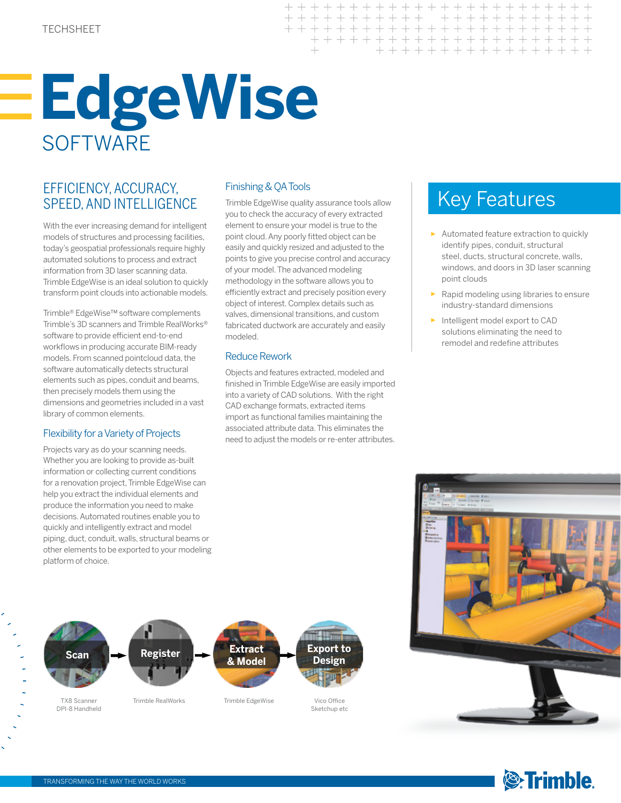+ + + + + + + + + + + + + + + + + + + + + + + + + + + + + + + + + + +

# **EdgeWise SOFTWARE**

### EFFICIENCY, ACCURACY, SPEED, AND INTELLIGENCE

With the ever increasing demand for intelligent models of structures and processing facilities, today's geospatial professionals require highly automated solutions to process and extract information from 3D laser scanning data. Trimble EdgeWise is an ideal solution to quickly transform point clouds into actionable models.

Trimble® EdgeWise™ software complements Trimble's 3D scanners and Trimble RealWorks® software to provide efficient end-to-end workflows in producing accurate BIM-ready models. From scanned pointcloud data, the software automatically detects structural elements such as pipes, conduit and beams, then precisely models them using the dimensions and geometries included in a vast library of common elements.

### Flexibility for a Variety of Projects

Projects vary as do your scanning needs. Whether you are looking to provide as-built information or collecting current conditions for a renovation project, Trimble EdgeWise can help you extract the individual elements and produce the information you need to make decisions. Automated routines enable you to quickly and intelligently extract and model piping, duct, conduit, walls, structural beams or other elements to be exported to your modeling platform of choice.

### Finishing & QA Tools

Trimble EdgeWise quality assurance tools allow you to check the accuracy of every extracted element to ensure your model is true to the point cloud. Any poorly fitted object can be easily and quickly resized and adjusted to the points to give you precise control and accuracy of your model. The advanced modeling methodology in the software allows you to efficiently extract and precisely position every object of interest. Complex details such as valves, dimensional transitions, and custom fabricated ductwork are accurately and easily modeled.

#### Reduce Rework

Objects and features extracted, modeled and finished in Trimble EdgeWise are easily imported into a variety of CAD solutions. With the right CAD exchange formats, extracted items import as functional families maintaining the associated attribute data. This eliminates the need to adjust the models or re-enter attributes.

### Key Features

- Automated feature extraction to quickly identify pipes, conduit, structural steel, ducts, structural concrete, walls, windows, and doors in 3D laser scanning point clouds
- ► Rapid modeling using libraries to ensure industry-standard dimensions
- ► Intelligent model export to CAD solutions eliminating the need to remodel and redefine attributes





TX8 Scanner DPI-8 Handheld

Trimble RealWorks Trimble EdgeWise Vico Office

Sketchup etc